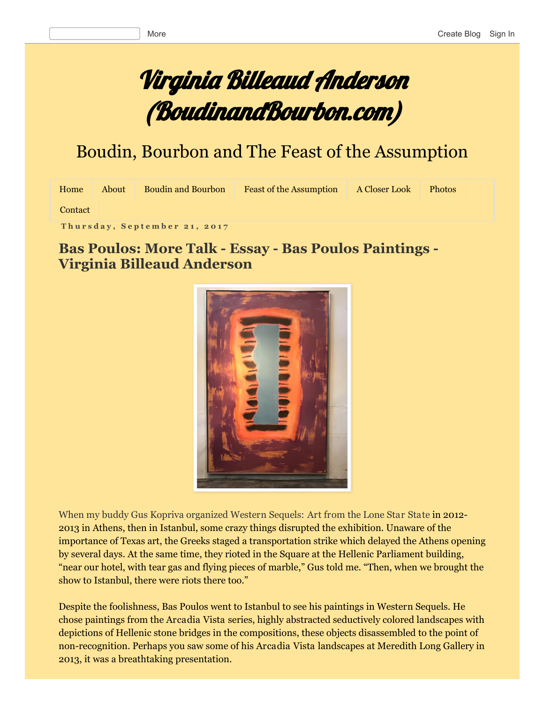# Virginia Billeaud Anderson (BoudinandBourbon.com)

## Boudin, Bourbon and The Feast of the Assumption

| Home    | About | <b>Boudin and Bourbon</b> | <b>Feast of the Assumption</b> | A Closer Look | <b>Photos</b> |  |
|---------|-------|---------------------------|--------------------------------|---------------|---------------|--|
| Contact |       |                           |                                |               |               |  |

**T h u r s d a y , S e p t e m b e r 2 1 , 2 0 1 7**

#### **Bas Poulos: More Talk - Essay - Bas Poulos Paintings -Virginia Billeaud Anderson**



When my buddy Gus Kopriva organized Western Sequels: Art from the Lone Star State in 2012- 2013 in Athens, then in Istanbul, some crazy things disrupted the exhibition. Unaware of the importance of Texas art, the Greeks staged a transportation strike which delayed the Athens opening by several days. At the same time, they rioted in the Square at the Hellenic Parliament building, "near our hotel, with tear gas and flying pieces of marble," Gus told me. "Then, when we brought the show to Istanbul, there were riots there too."

Despite the foolishness, Bas Poulos went to Istanbul to see his paintings in Western Sequels. He chose paintings from the Arcadia Vista series, highly abstracted seductively colored landscapes with depictions of Hellenic stone bridges in the compositions, these objects disassembled to the point of non-recognition. Perhaps you saw some of his Arcadia Vista landscapes at Meredith Long Gallery in 2013, it was a breathtaking presentation.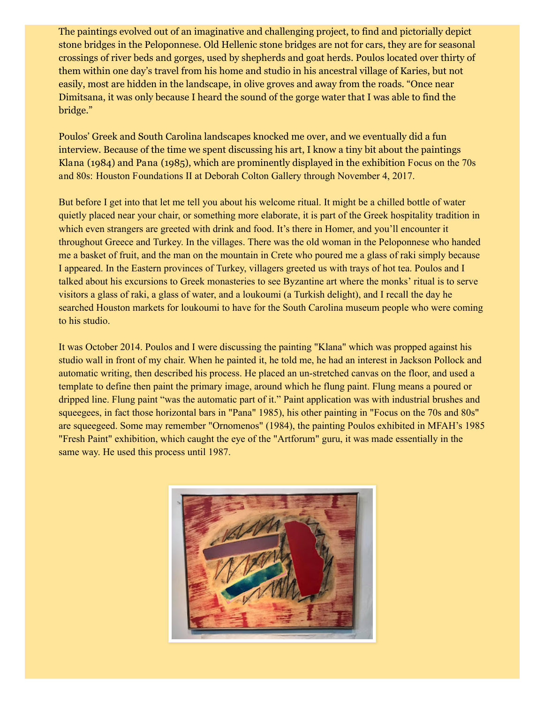The paintings evolved out of an imaginative and challenging project, to find and pictorially depict stone bridges in the Peloponnese. Old Hellenic stone bridges are not for cars, they are for seasonal crossings of river beds and gorges, used by shepherds and goat herds. Poulos located over thirty of them within one day's travel from his home and studio in his ancestral village of Karies, but not easily, most are hidden in the landscape, in olive groves and away from the roads. "Once near Dimitsana, it was only because I heard the sound of the gorge water that I was able to find the bridge."

Poulos' Greek and South Carolina landscapes knocked me over, and we eventually did a fun interview. Because of the time we spent discussing his art, I know a tiny bit about the paintings Klana (1984) and Pana (1985), which are prominently displayed in the exhibition Focus on the 70s and 80s: Houston Foundations II at Deborah Colton Gallery through November 4, 2017.

But before I get into that let me tell you about his welcome ritual. It might be a chilled bottle of water quietly placed near your chair, or something more elaborate, it is part of the Greek hospitality tradition in which even strangers are greeted with drink and food. It's there in Homer, and you'll encounter it throughout Greece and Turkey. In the villages. There was the old woman in the Peloponnese who handed me a basket of fruit, and the man on the mountain in Crete who poured me a glass of raki simply because I appeared. In the Eastern provinces of Turkey, villagers greeted us with trays of hot tea. Poulos and I talked about his excursions to Greek monasteries to see Byzantine art where the monks' ritual is to serve visitors a glass of raki, a glass of water, and a loukoumi (a Turkish delight), and I recall the day he searched Houston markets for loukoumi to have for the South Carolina museum people who were coming to his studio.

It was October 2014. Poulos and I were discussing the painting "Klana" which was propped against his studio wall in front of my chair. When he painted it, he told me, he had an interest in Jackson Pollock and automatic writing, then described his process. He placed an unstretched canvas on the floor, and used a template to define then paint the primary image, around which he flung paint. Flung means a poured or dripped line. Flung paint "was the automatic part of it." Paint application was with industrial brushes and squeegees, in fact those horizontal bars in "Pana" 1985), his other painting in "Focus on the 70s and 80s" are squeegeed. Some may remember "Ornomenos" (1984), the painting Poulos exhibited in MFAH's 1985 "Fresh Paint" exhibition, which caught the eye of the "Artforum" guru, it was made essentially in the same way. He used this process until 1987.

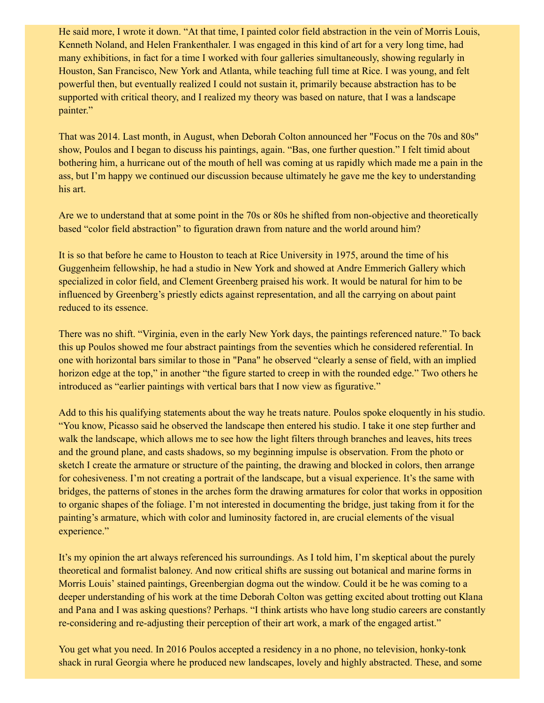He said more, I wrote it down. "At that time, I painted color field abstraction in the vein of Morris Louis, Kenneth Noland, and Helen Frankenthaler. I was engaged in this kind of art for a very long time, had many exhibitions, in fact for a time I worked with four galleries simultaneously, showing regularly in Houston, San Francisco, New York and Atlanta, while teaching full time at Rice. I was young, and felt powerful then, but eventually realized I could not sustain it, primarily because abstraction has to be supported with critical theory, and I realized my theory was based on nature, that I was a landscape painter."

That was 2014. Last month, in August, when Deborah Colton announced her "Focus on the 70s and 80s" show, Poulos and I began to discuss his paintings, again. "Bas, one further question." I felt timid about bothering him, a hurricane out of the mouth of hell was coming at us rapidly which made me a pain in the ass, but I'm happy we continued our discussion because ultimately he gave me the key to understanding his art.

Are we to understand that at some point in the 70s or 80s he shifted from non-objective and theoretically based "color field abstraction" to figuration drawn from nature and the world around him?

It is so that before he came to Houston to teach at Rice University in 1975, around the time of his Guggenheim fellowship, he had a studio in New York and showed at Andre Emmerich Gallery which specialized in color field, and Clement Greenberg praised his work. It would be natural for him to be influenced by Greenberg's priestly edicts against representation, and all the carrying on about paint reduced to its essence.

There was no shift. "Virginia, even in the early New York days, the paintings referenced nature." To back this up Poulos showed me four abstract paintings from the seventies which he considered referential. In one with horizontal bars similar to those in "Pana" he observed "clearly a sense of field, with an implied horizon edge at the top," in another "the figure started to creep in with the rounded edge." Two others he introduced as "earlier paintings with vertical bars that I now view as figurative."

Add to this his qualifying statements about the way he treats nature. Poulos spoke eloquently in his studio. "You know, Picasso said he observed the landscape then entered his studio. I take it one step further and walk the landscape, which allows me to see how the light filters through branches and leaves, hits trees and the ground plane, and casts shadows, so my beginning impulse is observation. From the photo or sketch I create the armature or structure of the painting, the drawing and blocked in colors, then arrange for cohesiveness. I'm not creating a portrait of the landscape, but a visual experience. It's the same with bridges, the patterns of stones in the arches form the drawing armatures for color that works in opposition to organic shapes of the foliage. I'm not interested in documenting the bridge, just taking from it for the painting's armature, which with color and luminosity factored in, are crucial elements of the visual experience."

It's my opinion the art always referenced his surroundings. As I told him, I'm skeptical about the purely theoretical and formalist baloney. And now critical shifts are sussing out botanical and marine forms in Morris Louis' stained paintings, Greenbergian dogma out the window. Could it be he was coming to a deeper understanding of his work at the time Deborah Colton was getting excited about trotting out Klana and Pana and I was asking questions? Perhaps. "I think artists who have long studio careers are constantly re-considering and re-adjusting their perception of their art work, a mark of the engaged artist."

You get what you need. In 2016 Poulos accepted a residency in a no phone, no television, honky-tonk shack in rural Georgia where he produced new landscapes, lovely and highly abstracted. These, and some